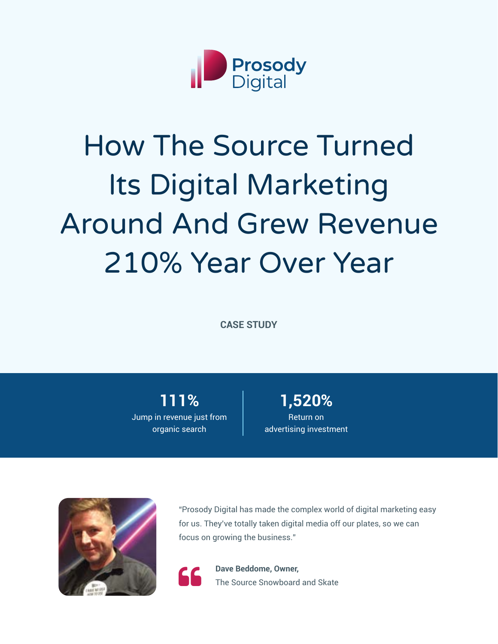

# How The Source Turned Its Digital Marketing Around And Grew Revenue 210% Year Over Year

**CASE STUDY**

**111%** Jump in revenue just from organic search

**1,520%** Return on advertising investment



"Prosody Digital has made the complex world of digital marketing easy for us. They've totally taken digital media off our plates, so we can focus on growing the business."



**Company Beddome, Owner,<br>
The Source Snowboard and Skate**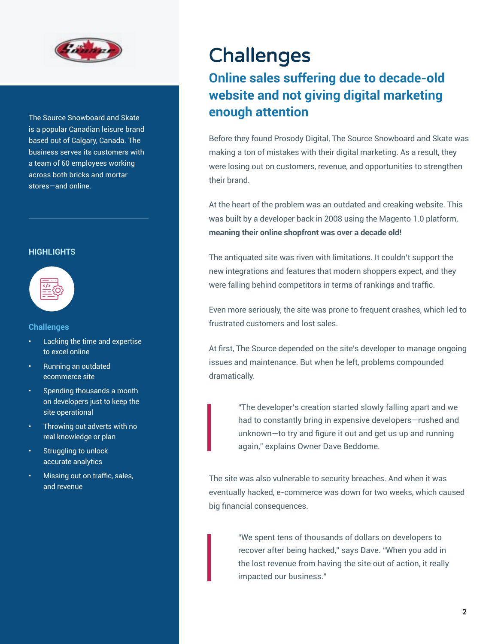

The Source Snowboard and Skate is a popular Canadian leisure brand based out of Calgary, Canada. The business serves its customers with a team of 60 employees working across both bricks and mortar stores—and online.

#### **HIGHLIGHTS**



#### **Challenges**

- Lacking the time and expertise to excel online
- Running an outdated ecommerce site
- Spending thousands a month on developers just to keep the site operational
- Throwing out adverts with no real knowledge or plan
- Struggling to unlock accurate analytics
- Missing out on traffic, sales, and revenue

### **Challenges**

### **Online sales suffering due to decade-old website and not giving digital marketing enough attention**

Before they found Prosody Digital, The Source Snowboard and Skate was making a ton of mistakes with their digital marketing. As a result, they were losing out on customers, revenue, and opportunities to strengthen their brand.

At the heart of the problem was an outdated and creaking website. This was built by a developer back in 2008 using the Magento 1.0 platform, **meaning their online shopfront was over a decade old!**

The antiquated site was riven with limitations. It couldn't support the new integrations and features that modern shoppers expect, and they were falling behind competitors in terms of rankings and traffic.

Even more seriously, the site was prone to frequent crashes, which led to frustrated customers and lost sales.

At first, The Source depended on the site's developer to manage ongoing issues and maintenance. But when he left, problems compounded dramatically.

> "The developer's creation started slowly falling apart and we had to constantly bring in expensive developers—rushed and unknown—to try and figure it out and get us up and running again," explains Owner Dave Beddome.

The site was also vulnerable to security breaches. And when it was eventually hacked, e-commerce was down for two weeks, which caused big financial consequences.

> "We spent tens of thousands of dollars on developers to recover after being hacked," says Dave. "When you add in the lost revenue from having the site out of action, it really impacted our business."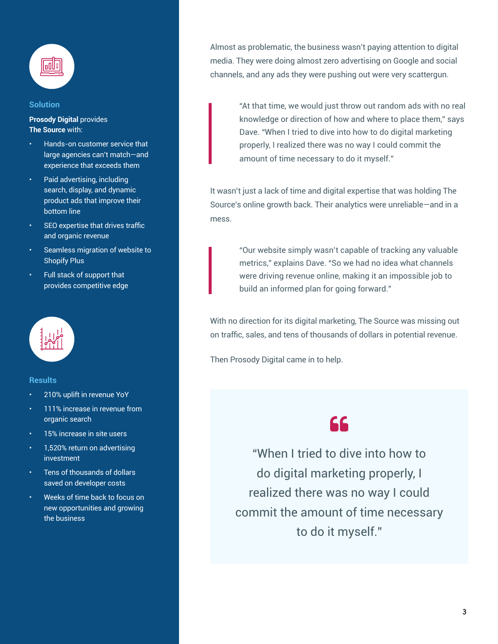

#### **Solution**

**Prosody Digital** provides **The Source** with:

- Hands-on customer service that large agencies can't match—and experience that exceeds them
- Paid advertising, including search, display, and dynamic product ads that improve their bottom line
- SEO expertise that drives traffic and organic revenue
- Seamless migration of website to Shopify Plus
- Full stack of support that provides competitive edge



#### **Results**

- 210% uplift in revenue YoY
- 111% increase in revenue from organic search
- 15% increase in site users
- 1,520% return on advertising investment
- Tens of thousands of dollars saved on developer costs
- Weeks of time back to focus on new opportunities and growing the business

Almost as problematic, the business wasn't paying attention to digital media. They were doing almost zero advertising on Google and social channels, and any ads they were pushing out were very scattergun.

> "At that time, we would just throw out random ads with no real knowledge or direction of how and where to place them," says Dave. "When I tried to dive into how to do digital marketing properly, I realized there was no way I could commit the amount of time necessary to do it myself."

It wasn't just a lack of time and digital expertise that was holding The Source's online growth back. Their analytics were unreliable—and in a mess.

> "Our website simply wasn't capable of tracking any valuable metrics," explains Dave. "So we had no idea what channels were driving revenue online, making it an impossible job to build an informed plan for going forward."

With no direction for its digital marketing, The Source was missing out on traffic, sales, and tens of thousands of dollars in potential revenue.

Then Prosody Digital came in to help.

### 66

"When I tried to dive into how to do digital marketing properly, I realized there was no way I could commit the amount of time necessary to do it myself."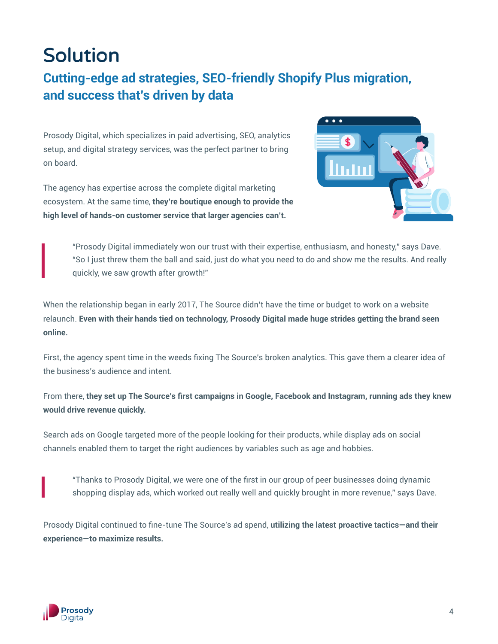# Solution

### **Cutting-edge ad strategies, SEO-friendly Shopify Plus migration, and success that's driven by data**

Prosody Digital, which specializes in paid advertising, SEO, analytics setup, and digital strategy services, was the perfect partner to bring on board.

The agency has expertise across the complete digital marketing ecosystem. At the same time, **they're boutique enough to provide the high level of hands-on customer service that larger agencies can't.**



"Prosody Digital immediately won our trust with their expertise, enthusiasm, and honesty," says Dave. "So I just threw them the ball and said, just do what you need to do and show me the results. And really quickly, we saw growth after growth!"

When the relationship began in early 2017, The Source didn't have the time or budget to work on a website relaunch. **Even with their hands tied on technology, Prosody Digital made huge strides getting the brand seen online.**

First, the agency spent time in the weeds fixing The Source's broken analytics. This gave them a clearer idea of the business's audience and intent.

From there, **they set up The Source's first campaigns in Google, Facebook and Instagram, running ads they knew would drive revenue quickly.** 

Search ads on Google targeted more of the people looking for their products, while display ads on social channels enabled them to target the right audiences by variables such as age and hobbies.

"Thanks to Prosody Digital, we were one of the first in our group of peer businesses doing dynamic shopping display ads, which worked out really well and quickly brought in more revenue," says Dave.

Prosody Digital continued to fine-tune The Source's ad spend, **utilizing the latest proactive tactics—and their experience—to maximize results.** 

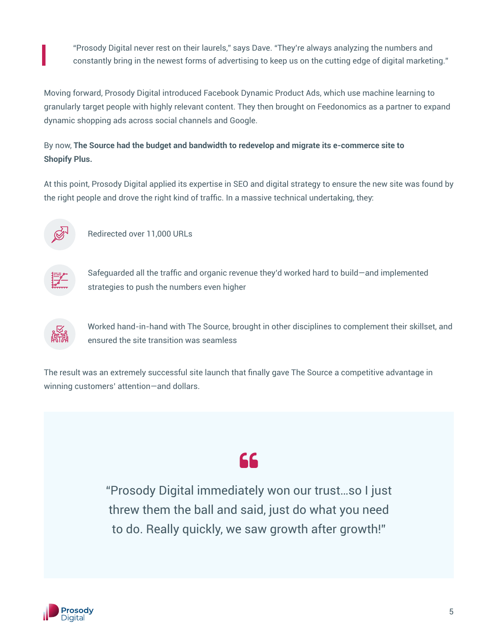"Prosody Digital never rest on their laurels," says Dave. "They're always analyzing the numbers and constantly bring in the newest forms of advertising to keep us on the cutting edge of digital marketing."

Moving forward, Prosody Digital introduced Facebook Dynamic Product Ads, which use machine learning to granularly target people with highly relevant content. They then brought on Feedonomics as a partner to expand dynamic shopping ads across social channels and Google.

#### By now, **The Source had the budget and bandwidth to redevelop and migrate its e-commerce site to Shopify Plus.**

At this point, Prosody Digital applied its expertise in SEO and digital strategy to ensure the new site was found by the right people and drove the right kind of traffic. In a massive technical undertaking, they:



Redirected over 11,000 URLs



Safeguarded all the traffic and organic revenue they'd worked hard to build—and implemented strategies to push the numbers even higher



Worked hand-in-hand with The Source, brought in other disciplines to complement their skillset, and ensured the site transition was seamless

The result was an extremely successful site launch that finally gave The Source a competitive advantage in winning customers' attention—and dollars.

# 66

"Prosody Digital immediately won our trust…so I just threw them the ball and said, just do what you need to do. Really quickly, we saw growth after growth!"

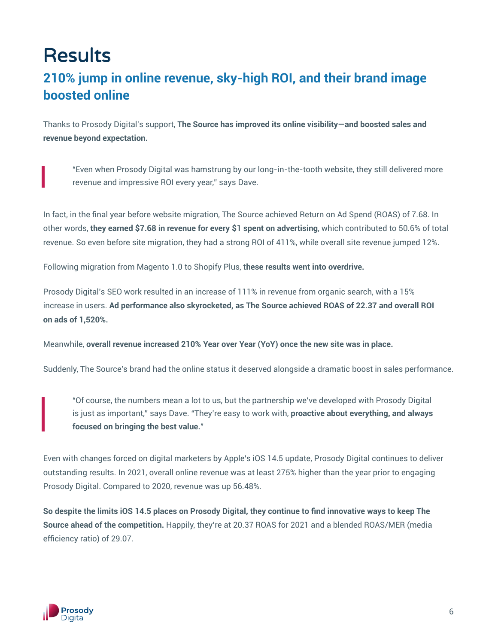# **Results**

### **210% jump in online revenue, sky-high ROI, and their brand image boosted online**

Thanks to Prosody Digital's support, **The Source has improved its online visibility—and boosted sales and revenue beyond expectation.** 

"Even when Prosody Digital was hamstrung by our long-in-the-tooth website, they still delivered more revenue and impressive ROI every year," says Dave.

In fact, in the final year before website migration, The Source achieved Return on Ad Spend (ROAS) of 7.68. In other words, **they earned \$7.68 in revenue for every \$1 spent on advertising**, which contributed to 50.6% of total revenue. So even before site migration, they had a strong ROI of 411%, while overall site revenue jumped 12%.

Following migration from Magento 1.0 to Shopify Plus, **these results went into overdrive.**

Prosody Digital's SEO work resulted in an increase of 111% in revenue from organic search, with a 15% increase in users. **Ad performance also skyrocketed, as The Source achieved ROAS of 22.37 and overall ROI on ads of 1,520%.**

Meanwhile, **overall revenue increased 210% Year over Year (YoY) once the new site was in place.**

Suddenly, The Source's brand had the online status it deserved alongside a dramatic boost in sales performance.

"Of course, the numbers mean a lot to us, but the partnership we've developed with Prosody Digital is just as important," says Dave. "They're easy to work with, **proactive about everything, and always focused on bringing the best value.**"

Even with changes forced on digital marketers by Apple's iOS 14.5 update, Prosody Digital continues to deliver outstanding results. In 2021, overall online revenue was at least 275% higher than the year prior to engaging Prosody Digital. Compared to 2020, revenue was up 56.48%.

**So despite the limits iOS 14.5 places on Prosody Digital, they continue to find innovative ways to keep The Source ahead of the competition.** Happily, they're at 20.37 ROAS for 2021 and a blended ROAS/MER (media efficiency ratio) of 29.07.

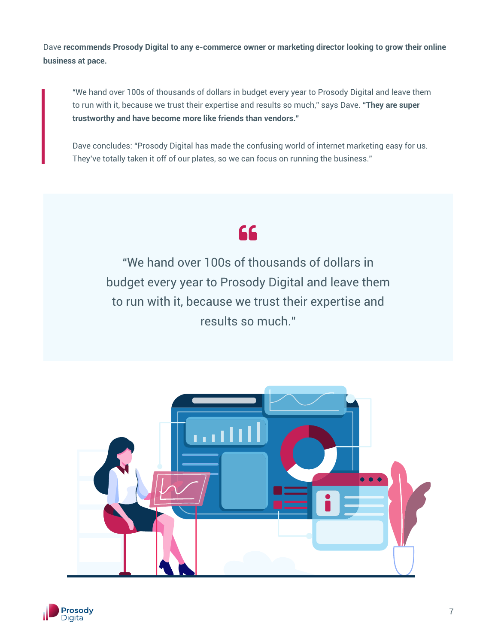Dave **recommends Prosody Digital to any e-commerce owner or marketing director looking to grow their online business at pace.**

"We hand over 100s of thousands of dollars in budget every year to Prosody Digital and leave them to run with it, because we trust their expertise and results so much," says Dave. **"They are super trustworthy and have become more like friends than vendors."**

Dave concludes: "Prosody Digital has made the confusing world of internet marketing easy for us. They've totally taken it off of our plates, so we can focus on running the business."

## 66

"We hand over 100s of thousands of dollars in budget every year to Prosody Digital and leave them to run with it, because we trust their expertise and results so much."